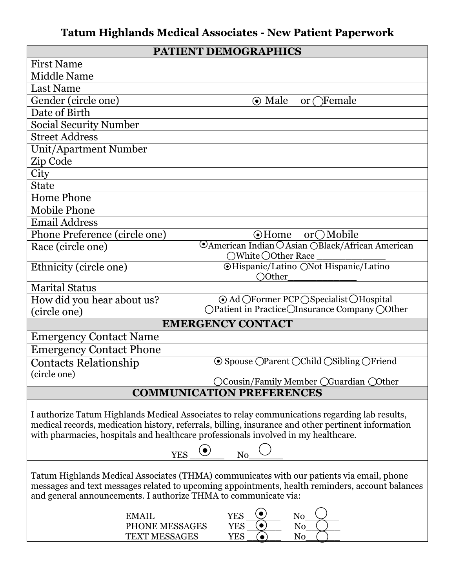# **Tatum Highlands Medical Associates - New Patient Paperwork**

| PATIENT DEMOGRAPHICS                                                                                                                                                                                                                                                                                                                              |                                                                            |  |
|---------------------------------------------------------------------------------------------------------------------------------------------------------------------------------------------------------------------------------------------------------------------------------------------------------------------------------------------------|----------------------------------------------------------------------------|--|
| <b>First Name</b>                                                                                                                                                                                                                                                                                                                                 |                                                                            |  |
| <b>Middle Name</b>                                                                                                                                                                                                                                                                                                                                |                                                                            |  |
| <b>Last Name</b>                                                                                                                                                                                                                                                                                                                                  |                                                                            |  |
| Gender (circle one)                                                                                                                                                                                                                                                                                                                               | $\odot$ Male<br>or $\bigcap$ Female                                        |  |
| Date of Birth                                                                                                                                                                                                                                                                                                                                     |                                                                            |  |
| <b>Social Security Number</b>                                                                                                                                                                                                                                                                                                                     |                                                                            |  |
| <b>Street Address</b>                                                                                                                                                                                                                                                                                                                             |                                                                            |  |
| Unit/Apartment Number                                                                                                                                                                                                                                                                                                                             |                                                                            |  |
| Zip Code                                                                                                                                                                                                                                                                                                                                          |                                                                            |  |
| City                                                                                                                                                                                                                                                                                                                                              |                                                                            |  |
| <b>State</b>                                                                                                                                                                                                                                                                                                                                      |                                                                            |  |
| <b>Home Phone</b>                                                                                                                                                                                                                                                                                                                                 |                                                                            |  |
| <b>Mobile Phone</b>                                                                                                                                                                                                                                                                                                                               |                                                                            |  |
| <b>Email Address</b>                                                                                                                                                                                                                                                                                                                              |                                                                            |  |
| Phone Preference (circle one)                                                                                                                                                                                                                                                                                                                     | $\odot$ Home or $\bigcirc$ Mobile                                          |  |
| Race (circle one)                                                                                                                                                                                                                                                                                                                                 | OAmerican Indian OAsian OBlack/African American<br>○White ○Other Race      |  |
| Ethnicity (circle one)                                                                                                                                                                                                                                                                                                                            | <b>OHispanic/Latino ONot Hispanic/Latino</b><br>○Other                     |  |
| <b>Marital Status</b>                                                                                                                                                                                                                                                                                                                             |                                                                            |  |
| How did you hear about us?                                                                                                                                                                                                                                                                                                                        | ⊙ Ad OFormer PCP OSpecialist OHospital                                     |  |
| (circle one)                                                                                                                                                                                                                                                                                                                                      | ○Patient in Practice○Insurance Company ○Other                              |  |
|                                                                                                                                                                                                                                                                                                                                                   | <b>EMERGENCY CONTACT</b>                                                   |  |
| <b>Emergency Contact Name</b>                                                                                                                                                                                                                                                                                                                     |                                                                            |  |
| <b>Emergency Contact Phone</b>                                                                                                                                                                                                                                                                                                                    |                                                                            |  |
| <b>Contacts Relationship</b>                                                                                                                                                                                                                                                                                                                      | $\odot$ Spouse $\odot$ Parent $\odot$ Child $\odot$ Sibling $\odot$ Friend |  |
| (circle one)                                                                                                                                                                                                                                                                                                                                      | OCousin/Family Member OGuardian Oother                                     |  |
| <b>COMMUNICATION PREFERENCES</b>                                                                                                                                                                                                                                                                                                                  |                                                                            |  |
| I authorize Tatum Highlands Medical Associates to relay communications regarding lab results,<br>medical records, medication history, referrals, billing, insurance and other pertinent information<br>with pharmacies, hospitals and healthcare professionals involved in my healthcare.<br>$\odot$<br>$\overline{\phantom{a}}$ No<br><b>YES</b> |                                                                            |  |
|                                                                                                                                                                                                                                                                                                                                                   |                                                                            |  |
| Tatum Highlands Medical Associates (THMA) communicates with our patients via email, phone<br>messages and text messages related to upcoming appointments, health reminders, account balances<br>and general announcements. I authorize THMA to communicate via:                                                                                   |                                                                            |  |
| <b>EMAIL</b>                                                                                                                                                                                                                                                                                                                                      | $No$ <sub>__</sub><br><b>YES</b>                                           |  |

| N/I                      |  |
|--------------------------|--|
| PHONE MESSAGES           |  |
| <b>ESSAGES</b><br>TFYT M |  |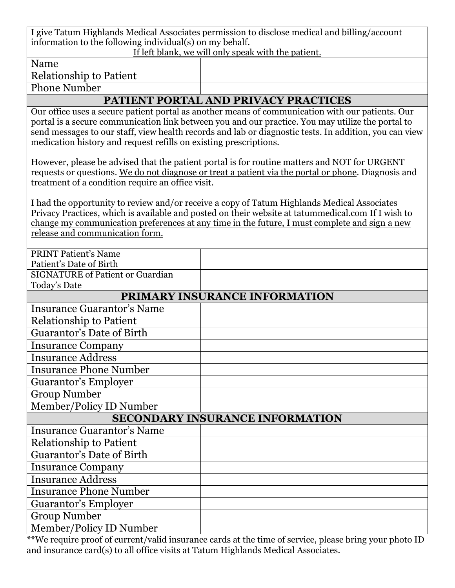I give Tatum Highlands Medical Associates permission to disclose medical and billing/account information to the following individual(s) on my behalf.

#### If left blank, we will only speak with the patient.

Name

Relationship to Patient

Phone Number

## **PATIENT PORTAL AND PRIVACY PRACTICES**

Our office uses a secure patient portal as another means of communication with our patients. Our portal is a secure communication link between you and our practice. You may utilize the portal to send messages to our staff, view health records and lab or diagnostic tests. In addition, you can view medication history and request refills on existing prescriptions.

However, please be advised that the patient portal is for routine matters and NOT for URGENT requests or questions. We do not diagnose or treat a patient via the portal or phone. Diagnosis and treatment of a condition require an office visit.

I had the opportunity to review and/or receive a copy of Tatum Highlands Medical Associates Privacy Practices, which is available and posted on their website at tatummedical.com If I wish to change my communication preferences at any time in the future, I must complete and sign a new release and communication form.

| <b>PRINT Patient's Name</b>             |                                        |
|-----------------------------------------|----------------------------------------|
| Patient's Date of Birth                 |                                        |
| <b>SIGNATURE of Patient or Guardian</b> |                                        |
| Today's Date                            |                                        |
|                                         | PRIMARY INSURANCE INFORMATION          |
| <b>Insurance Guarantor's Name</b>       |                                        |
| <b>Relationship to Patient</b>          |                                        |
| Guarantor's Date of Birth               |                                        |
| <b>Insurance Company</b>                |                                        |
| <b>Insurance Address</b>                |                                        |
| <b>Insurance Phone Number</b>           |                                        |
| <b>Guarantor's Employer</b>             |                                        |
| <b>Group Number</b>                     |                                        |
| Member/Policy ID Number                 |                                        |
|                                         | <b>SECONDARY INSURANCE INFORMATION</b> |
| <b>Insurance Guarantor's Name</b>       |                                        |
| <b>Relationship to Patient</b>          |                                        |
| <b>Guarantor's Date of Birth</b>        |                                        |
| <b>Insurance Company</b>                |                                        |
| <b>Insurance Address</b>                |                                        |
| <b>Insurance Phone Number</b>           |                                        |
| Guarantor's Employer                    |                                        |
| <b>Group Number</b>                     |                                        |
| Member/Policy ID Number                 |                                        |

\*\*We require proof of current/valid insurance cards at the time of service, please bring your photo ID and insurance card(s) to all office visits at Tatum Highlands Medical Associates.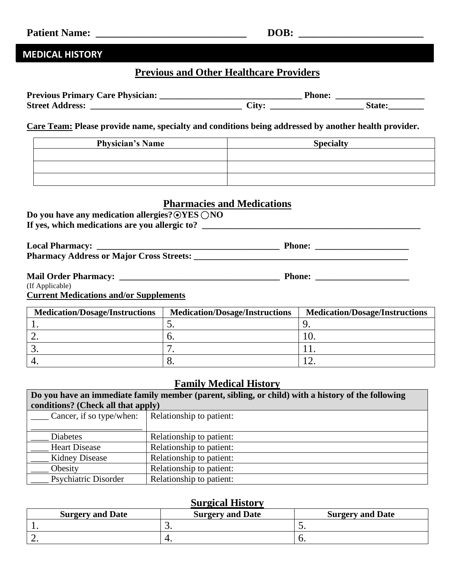## **MEDICAL HISTORY**

## **Previous and Other Healthcare Providers**

| <b>Previous Primary Care Physician:</b> | Phone:     |  |
|-----------------------------------------|------------|--|
| <b>Street Address:</b>                  | $\cup$ lty |  |

**Care Team: Please provide name, specialty and conditions being addressed by another health provider.**

| <b>Physician's Name</b> | <b>Specialty</b> |
|-------------------------|------------------|
|                         |                  |
|                         |                  |
|                         |                  |

### **Pharmacies and Medications**

| Do you have any medication allergies? $\odot$ YES $\bigcirc$ NO |  |
|-----------------------------------------------------------------|--|
| If yes, which medications are you allergic to?                  |  |

| <b>Local Pharmacy:</b>                          | <b>Phone:</b> |
|-------------------------------------------------|---------------|
| <b>Pharmacy Address or Major Cross Streets:</b> |               |
|                                                 |               |

| <b>Mail Order Pharmacy:</b> | Phone: |
|-----------------------------|--------|
| (If Applicable)             |        |

**Current Medications and/or Supplements**

| <b>Medication/Dosage/Instructions</b> | <b>Medication/Dosage/Instructions</b> | <b>Medication/Dosage/Instructions</b> |
|---------------------------------------|---------------------------------------|---------------------------------------|
|                                       |                                       |                                       |
|                                       |                                       |                                       |
|                                       |                                       |                                       |
|                                       |                                       |                                       |

### **Family Medical History**

| Do you have an immediate family member (parent, sibling, or child) with a history of the following |                                    |  |  |
|----------------------------------------------------------------------------------------------------|------------------------------------|--|--|
|                                                                                                    | conditions? (Check all that apply) |  |  |
| Cancer, if so type/when:                                                                           | Relationship to patient:           |  |  |
|                                                                                                    |                                    |  |  |
| <b>Diabetes</b>                                                                                    | Relationship to patient:           |  |  |
| <b>Heart Disease</b>                                                                               | Relationship to patient:           |  |  |
| <b>Kidney Disease</b>                                                                              | Relationship to patient:           |  |  |
| Obesity                                                                                            | Relationship to patient:           |  |  |
| <b>Psychiatric Disorder</b>                                                                        | Relationship to patient:           |  |  |

### **Surgical History**

| <b>Surgery and Date</b> | <b>Surgery and Date</b> | <b>Surgery and Date</b> |
|-------------------------|-------------------------|-------------------------|
|                         | <u>.</u>                | ້                       |
|                         |                         | J.                      |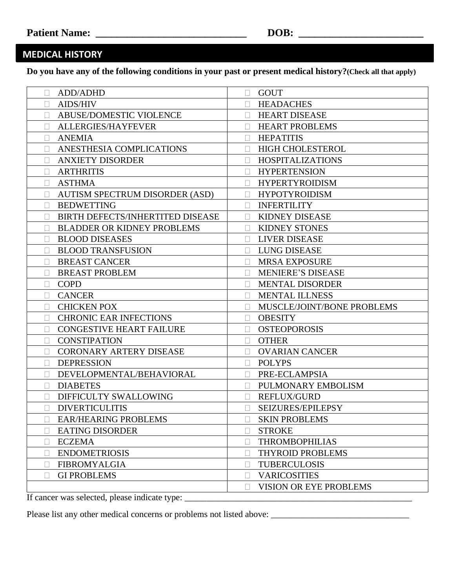## **MEDICAL HISTORY**

**Do you have any of the following conditions in your past or present medical history?(Check all that apply)**

| ADD/ADHD<br>П                         | <b>GOUT</b><br>П                      |
|---------------------------------------|---------------------------------------|
| <b>AIDS/HIV</b>                       | <b>HEADACHES</b><br>П                 |
| ABUSE/DOMESTIC VIOLENCE               | <b>HEART DISEASE</b><br>П             |
| ALLERGIES/HAYFEVER                    | <b>HEART PROBLEMS</b>                 |
| <b>ANEMIA</b><br>$\Box$               | <b>HEPATITIS</b><br>П                 |
| ANESTHESIA COMPLICATIONS              | <b>HIGH CHOLESTEROL</b>               |
| <b>ANXIETY DISORDER</b>               | <b>HOSPITALIZATIONS</b><br>П          |
| <b>ARTHRITIS</b>                      | <b>HYPERTENSION</b>                   |
| <b>ASTHMA</b>                         | <b>HYPERTYROIDISM</b>                 |
| <b>AUTISM SPECTRUM DISORDER (ASD)</b> | <b>HYPOTYROIDISM</b>                  |
| <b>BEDWETTING</b>                     | <b>INFERTILITY</b>                    |
| BIRTH DEFECTS/INHERTITED DISEASE      | <b>KIDNEY DISEASE</b>                 |
| <b>BLADDER OR KIDNEY PROBLEMS</b>     | <b>KIDNEY STONES</b>                  |
| <b>BLOOD DISEASES</b><br>П            | <b>LIVER DISEASE</b>                  |
| <b>BLOOD TRANSFUSION</b>              | <b>LUNG DISEASE</b>                   |
| <b>BREAST CANCER</b><br>П             | <b>MRSA EXPOSURE</b><br>П             |
| <b>BREAST PROBLEM</b>                 | <b>MENIERE'S DISEASE</b><br>Ш         |
| <b>COPD</b><br>П                      | <b>MENTAL DISORDER</b><br>П           |
| <b>CANCER</b><br>$\mathbf{L}$         | <b>MENTAL ILLNESS</b><br>$\mathbf{L}$ |
| <b>CHICKEN POX</b>                    | MUSCLE/JOINT/BONE PROBLEMS<br>П       |
| <b>CHRONIC EAR INFECTIONS</b>         | <b>OBESITY</b><br>$\mathbf{L}$        |
| <b>CONGESTIVE HEART FAILURE</b>       | <b>OSTEOPOROSIS</b><br>$\Box$         |
| <b>CONSTIPATION</b>                   | <b>OTHER</b><br>$\Box$                |
| <b>CORONARY ARTERY DISEASE</b>        | <b>OVARIAN CANCER</b><br>П            |
| <b>DEPRESSION</b>                     | <b>POLYPS</b><br>П                    |
| DEVELOPMENTAL/BEHAVIORAL              | PRE-ECLAMPSIA                         |
| <b>DIABETES</b>                       | PULMONARY EMBOLISM                    |
| DIFFICULTY SWALLOWING                 | REFLUX/GURD                           |
| <b>DIVERTICULITIS</b><br>П            | SEIZURES/EPILEPSY                     |
| <b>EAR/HEARING PROBLEMS</b><br>$\Box$ | <b>SKIN PROBLEMS</b>                  |
| <b>EATING DISORDER</b>                | <b>STROKE</b>                         |
| <b>ECZEMA</b>                         | <b>THROMBOPHILIAS</b>                 |
| <b>ENDOMETRIOSIS</b>                  | THYROID PROBLEMS                      |
| <b>FIBROMYALGIA</b>                   | <b>TUBERCULOSIS</b><br>$\mathbf{L}$   |
| <b>GI PROBLEMS</b>                    | <b>VARICOSITIES</b><br>П              |
|                                       | VISION OR EYE PROBLEMS<br>Ш           |

If cancer was selected, please indicate type: \_\_\_\_\_\_\_\_\_\_\_\_\_\_\_\_\_\_\_\_\_\_\_\_\_\_\_\_\_\_\_\_\_\_\_\_\_\_\_\_\_\_\_\_\_\_\_\_\_\_\_

Please list any other medical concerns or problems not listed above: \_\_\_\_\_\_\_\_\_\_\_\_\_\_\_\_\_\_\_\_\_\_\_\_\_\_\_\_\_\_\_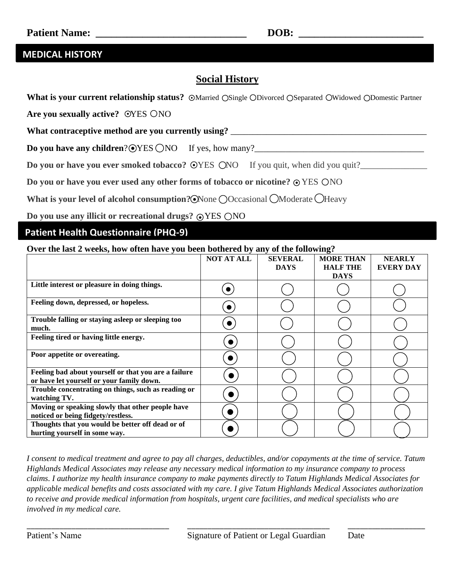### **MEDICAL HISTORY**

## **Social History**

What is your current relationship status? 
SMarried OSingle ODivorced OSeparated OWidowed ODomestic Partner

Are you sexually active? OYES ONO

What contraceptive method are you currently using? \_\_\_\_\_\_\_\_\_\_\_\_\_\_\_\_\_\_\_\_\_\_\_\_\_\_\_\_\_\_

**Do you have any children**? YES NO If yes, how many?\_\_\_\_\_\_\_\_\_\_\_\_\_\_\_\_\_\_\_\_\_\_\_\_\_\_\_\_\_\_\_\_\_\_\_\_\_\_ ●

**Do you or have you ever smoked tobacco?**  $\odot$ YES  $\odot$ NO If you quit, when did you quit?\_\_\_\_\_\_\_\_\_\_\_\_\_\_\_\_\_\_\_\_\_\_\_

**Do you or have you ever used any other forms of tobacco or nicotine?**  $\odot$  **YES ONO** 

What is your level of alcohol consumption? None OOccasional OModerate OHeavy

**Do you use any illicit or recreational drugs?**  $\odot$ **YES**  $\bigcirc$ **NO** 

#### **Patient Health Questionnaire (PHQ-9)**

#### **Over the last 2 weeks, how often have you been bothered by any of the following?**

|                                                                                                   | <b>NOT AT ALL</b> | <b>SEVERAL</b><br><b>DAYS</b> | <b>MORE THAN</b><br><b>HALF THE</b><br><b>DAYS</b> | <b>NEARLY</b><br><b>EVERY DAY</b> |
|---------------------------------------------------------------------------------------------------|-------------------|-------------------------------|----------------------------------------------------|-----------------------------------|
| Little interest or pleasure in doing things.                                                      |                   |                               |                                                    |                                   |
| Feeling down, depressed, or hopeless.                                                             |                   |                               |                                                    |                                   |
| Trouble falling or staying asleep or sleeping too<br>much.                                        |                   |                               |                                                    |                                   |
| Feeling tired or having little energy.                                                            | $\bullet$         |                               |                                                    |                                   |
| Poor appetite or overeating.                                                                      | D                 |                               |                                                    |                                   |
| Feeling bad about yourself or that you are a failure<br>or have let yourself or your family down. |                   |                               |                                                    |                                   |
| Trouble concentrating on things, such as reading or<br>watching TV.                               |                   |                               |                                                    |                                   |
| Moving or speaking slowly that other people have<br>noticed or being fidgety/restless.            |                   |                               |                                                    |                                   |
| Thoughts that you would be better off dead or of<br>hurting yourself in some way.                 |                   |                               |                                                    |                                   |

*I consent to medical treatment and agree to pay all charges, deductibles, and/or copayments at the time of service. Tatum Highlands Medical Associates may release any necessary medical information to my insurance company to process claims. I authorize my health insurance company to make payments directly to Tatum Highlands Medical Associates for applicable medical benefits and costs associated with my care. I give Tatum Highlands Medical Associates authorization to receive and provide medical information from hospitals, urgent care facilities, and medical specialists who are involved in my medical care.*

\_\_\_\_\_\_\_\_\_\_\_\_\_\_\_\_\_\_\_\_\_\_\_\_\_\_\_\_\_\_\_\_\_\_\_ \_\_\_\_\_\_\_\_\_\_\_\_\_\_\_\_\_\_\_\_\_\_\_\_\_\_\_\_\_\_\_\_\_\_\_ \_\_\_\_\_\_\_\_\_\_\_\_\_\_\_\_\_\_\_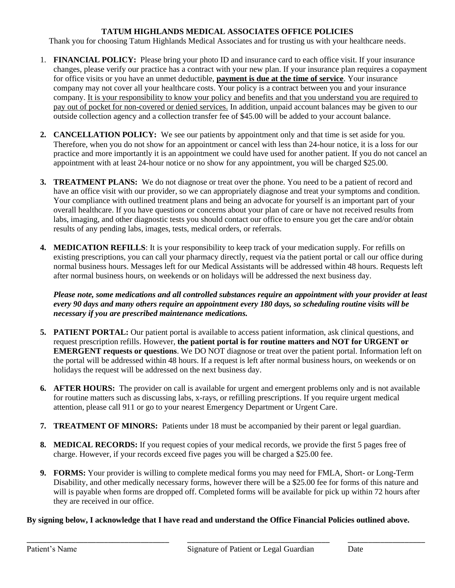#### **TATUM HIGHLANDS MEDICAL ASSOCIATES OFFICE POLICIES**

Thank you for choosing Tatum Highlands Medical Associates and for trusting us with your healthcare needs.

- 1. **FINANCIAL POLICY:** Please bring your photo ID and insurance card to each office visit. If your insurance changes, please verify our practice has a contract with your new plan. If your insurance plan requires a copayment for office visits or you have an unmet deductible, **payment is due at the time of service**. Your insurance company may not cover all your healthcare costs. Your policy is a contract between you and your insurance company. It is your responsibility to know your policy and benefits and that you understand you are required to pay out of pocket for non-covered or denied services. In addition, unpaid account balances may be given to our outside collection agency and a collection transfer fee of \$45.00 will be added to your account balance.
- **2. CANCELLATION POLICY:** We see our patients by appointment only and that time is set aside for you. Therefore, when you do not show for an appointment or cancel with less than 24-hour notice, it is a loss for our practice and more importantly it is an appointment we could have used for another patient. If you do not cancel an appointment with at least 24-hour notice or no show for any appointment, you will be charged \$25.00.
- **3. TREATMENT PLANS:** We do not diagnose or treat over the phone. You need to be a patient of record and have an office visit with our provider, so we can appropriately diagnose and treat your symptoms and condition. Your compliance with outlined treatment plans and being an advocate for yourself is an important part of your overall healthcare. If you have questions or concerns about your plan of care or have not received results from labs, imaging, and other diagnostic tests you should contact our office to ensure you get the care and/or obtain results of any pending labs, images, tests, medical orders, or referrals.
- **4. MEDICATION REFILLS**: It is your responsibility to keep track of your medication supply. For refills on existing prescriptions, you can call your pharmacy directly, request via the patient portal or call our office during normal business hours. Messages left for our Medical Assistants will be addressed within 48 hours. Requests left after normal business hours, on weekends or on holidays will be addressed the next business day.

*Please note, some medications and all controlled substances require an appointment with your provider at least every 90 days and many others require an appointment every 180 days, so scheduling routine visits will be necessary if you are prescribed maintenance medications.* 

- **5. PATIENT PORTAL:** Our patient portal is available to access patient information, ask clinical questions, and request prescription refills. However, **the patient portal is for routine matters and NOT for URGENT or EMERGENT requests or questions**. We DO NOT diagnose or treat over the patient portal. Information left on the portal will be addressed within 48 hours. If a request is left after normal business hours, on weekends or on holidays the request will be addressed on the next business day.
- **6. AFTER HOURS:** The provider on call is available for urgent and emergent problems only and is not available for routine matters such as discussing labs, x-rays, or refilling prescriptions. If you require urgent medical attention, please call 911 or go to your nearest Emergency Department or Urgent Care.
- **7. TREATMENT OF MINORS:** Patients under 18 must be accompanied by their parent or legal guardian.
- **8. MEDICAL RECORDS:** If you request copies of your medical records, we provide the first 5 pages free of charge. However, if your records exceed five pages you will be charged a \$25.00 fee.
- **9. FORMS:** Your provider is willing to complete medical forms you may need for FMLA, Short- or Long-Term Disability, and other medically necessary forms, however there will be a \$25.00 fee for forms of this nature and will is payable when forms are dropped off. Completed forms will be available for pick up within 72 hours after they are received in our office.

#### **By signing below, I acknowledge that I have read and understand the Office Financial Policies outlined above.**

\_\_\_\_\_\_\_\_\_\_\_\_\_\_\_\_\_\_\_\_\_\_\_\_\_\_\_\_\_\_\_\_\_\_\_ \_\_\_\_\_\_\_\_\_\_\_\_\_\_\_\_\_\_\_\_\_\_\_\_\_\_\_\_\_\_\_\_\_\_\_ \_\_\_\_\_\_\_\_\_\_\_\_\_\_\_\_\_\_\_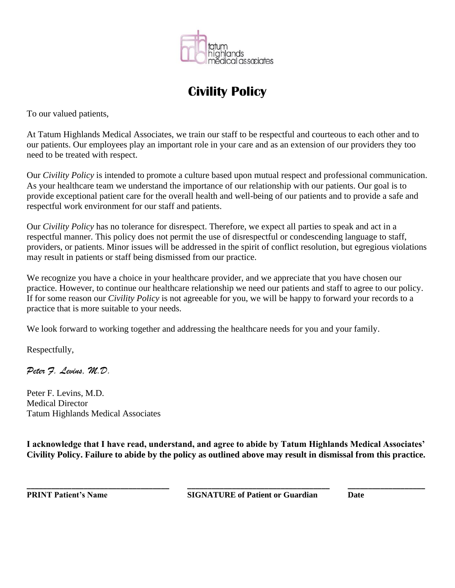

# **Civility Policy**

To our valued patients,

At Tatum Highlands Medical Associates, we train our staff to be respectful and courteous to each other and to our patients. Our employees play an important role in your care and as an extension of our providers they too need to be treated with respect.

Our *Civility Policy* is intended to promote a culture based upon mutual respect and professional communication. As your healthcare team we understand the importance of our relationship with our patients. Our goal is to provide exceptional patient care for the overall health and well-being of our patients and to provide a safe and respectful work environment for our staff and patients.

Our *Civility Policy* has no tolerance for disrespect. Therefore, we expect all parties to speak and act in a respectful manner. This policy does not permit the use of disrespectful or condescending language to staff, providers, or patients. Minor issues will be addressed in the spirit of conflict resolution, but egregious violations may result in patients or staff being dismissed from our practice.

We recognize you have a choice in your healthcare provider, and we appreciate that you have chosen our practice. However, to continue our healthcare relationship we need our patients and staff to agree to our policy. If for some reason our *Civility Policy* is not agreeable for you, we will be happy to forward your records to a practice that is more suitable to your needs.

We look forward to working together and addressing the healthcare needs for you and your family.

Respectfully,

*Peter F. Levins, M.D.*

Peter F. Levins, M.D. Medical Director Tatum Highlands Medical Associates

**I acknowledge that I have read, understand, and agree to abide by Tatum Highlands Medical Associates' Civility Policy. Failure to abide by the policy as outlined above may result in dismissal from this practice.**

**\_\_\_\_\_\_\_\_\_\_\_\_\_\_\_\_\_\_\_\_\_\_\_\_\_\_\_\_\_\_\_\_\_\_\_ \_\_\_\_\_\_\_\_\_\_\_\_\_\_\_\_\_\_\_\_\_\_\_\_\_\_\_\_\_\_\_\_\_\_\_ \_\_\_\_\_\_\_\_\_\_\_\_\_\_\_\_\_\_\_**

**PRINT Patient's Name SIGNATURE of Patient or Guardian Date**